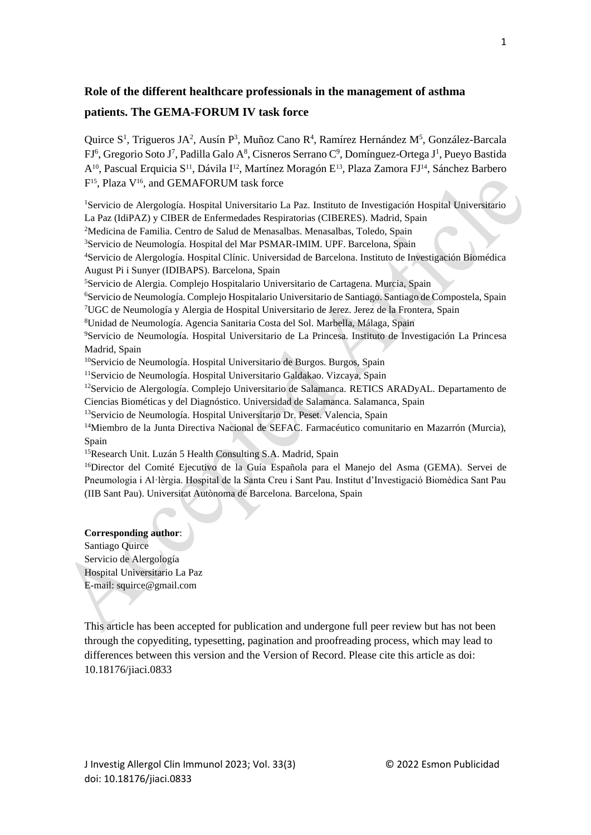# **Role of the different healthcare professionals in the management of asthma patients. The GEMA-FORUM IV task force**

Quirce S<sup>1</sup>, Trigueros JA<sup>2</sup>, Ausín P<sup>3</sup>, Muñoz Cano R<sup>4</sup>, Ramírez Hernández M<sup>5</sup>, González-Barcala FJ<sup>6</sup>, Gregorio Soto J<sup>7</sup>, Padilla Galo A<sup>8</sup>, Cisneros Serrano C<sup>9</sup>, Domínguez-Ortega J<sup>1</sup>, Pueyo Bastida A10, Pascual Erquicia S11, Dávila I12, Martínez Moragón E13, Plaza Zamora FJ14, Sánchez Barbero F<sup>15</sup>, Plaza V<sup>16</sup>, and GEMAFORUM task force

<sup>1</sup>Servicio de Alergología. Hospital Universitario La Paz. Instituto de Investigación Hospital Universitario La Paz (IdiPAZ) y CIBER de Enfermedades Respiratorias (CIBERES). Madrid, Spain

<sup>2</sup>Medicina de Familia. Centro de Salud de Menasalbas. Menasalbas, Toledo, Spain

<sup>3</sup>Servicio de Neumología. Hospital del Mar PSMAR-IMIM. UPF. Barcelona, Spain

<sup>4</sup>Servicio de Alergología. Hospital Clínic. Universidad de Barcelona. Instituto de Investigación Biomédica August Pi i Sunyer (IDIBAPS). Barcelona, Spain

<sup>5</sup>Servicio de Alergia. Complejo Hospitalario Universitario de Cartagena. Murcia, Spain

<sup>6</sup>Servicio de Neumología. Complejo Hospitalario Universitario de Santiago. Santiago de Compostela, Spain

<sup>7</sup>UGC de Neumología y Alergia de Hospital Universitario de Jerez. Jerez de la Frontera, Spain

<sup>8</sup>Unidad de Neumología. Agencia Sanitaria Costa del Sol. Marbella, Málaga, Spain

<sup>9</sup>Servicio de Neumología. Hospital Universitario de La Princesa. Instituto de Investigación La Princesa Madrid, Spain

<sup>10</sup>Servicio de Neumología. Hospital Universitario de Burgos. Burgos, Spain

<sup>11</sup>Servicio de Neumología. Hospital Universitario Galdakao. Vizcaya, Spain

<sup>12</sup>Servicio de Alergología. Complejo Universitario de Salamanca. RETICS ARADyAL. Departamento de Ciencias Biométicas y del Diagnóstico. Universidad de Salamanca. Salamanca, Spain

<sup>13</sup>Servicio de Neumología. Hospital Universitario Dr. Peset. Valencia, Spain

<sup>14</sup>Miembro de la Junta Directiva Nacional de SEFAC. Farmacéutico comunitario en Mazarrón (Murcia), Spain

<sup>15</sup>Research Unit. Luzán 5 Health Consulting S.A. Madrid, Spain

<sup>16</sup>Director del Comité Ejecutivo de la Guía Española para el Manejo del Asma (GEMA). Servei de Pneumologia i Al·lèrgia. Hospital de la Santa Creu i Sant Pau. Institut d'Investigació Biomèdica Sant Pau (IIB Sant Pau). Universitat Autònoma de Barcelona. Barcelona, Spain

#### **Corresponding author**:

Santiago Quirce Servicio de Alergología Hospital Universitario La Paz E-mail: squirce@gmail.com

This article has been accepted for publication and undergone full peer review but has not been through the copyediting, typesetting, pagination and proofreading process, which may lead to differences between this version and the Version of Record. Please cite this article as doi: 10.18176/jiaci.0833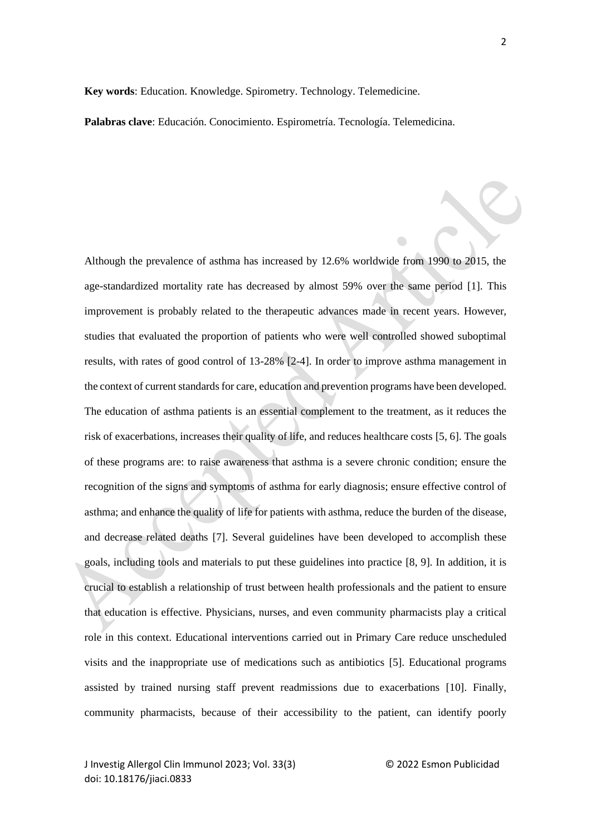**Key words**: Education. Knowledge. Spirometry. Technology. Telemedicine.

**Palabras clave**: Educación. Conocimiento. Espirometría. Tecnología. Telemedicina.

Although the prevalence of asthma has increased by 12.6% worldwide from 1990 to 2015, the age-standardized mortality rate has decreased by almost 59% over the same period [1]. This improvement is probably related to the therapeutic advances made in recent years. However, studies that evaluated the proportion of patients who were well controlled showed suboptimal results, with rates of good control of 13-28% [2-4]. In order to improve asthma management in the context of current standards for care, education and prevention programs have been developed. The education of asthma patients is an essential complement to the treatment, as it reduces the risk of exacerbations, increases their quality of life, and reduces healthcare costs [5, 6]. The goals of these programs are: to raise awareness that asthma is a severe chronic condition; ensure the recognition of the signs and symptoms of asthma for early diagnosis; ensure effective control of asthma; and enhance the quality of life for patients with asthma, reduce the burden of the disease, and decrease related deaths [7]. Several guidelines have been developed to accomplish these goals, including tools and materials to put these guidelines into practice [8, 9]. In addition, it is crucial to establish a relationship of trust between health professionals and the patient to ensure that education is effective. Physicians, nurses, and even community pharmacists play a critical role in this context. Educational interventions carried out in Primary Care reduce unscheduled visits and the inappropriate use of medications such as antibiotics [5]. Educational programs assisted by trained nursing staff prevent readmissions due to exacerbations [10]. Finally, community pharmacists, because of their accessibility to the patient, can identify poorly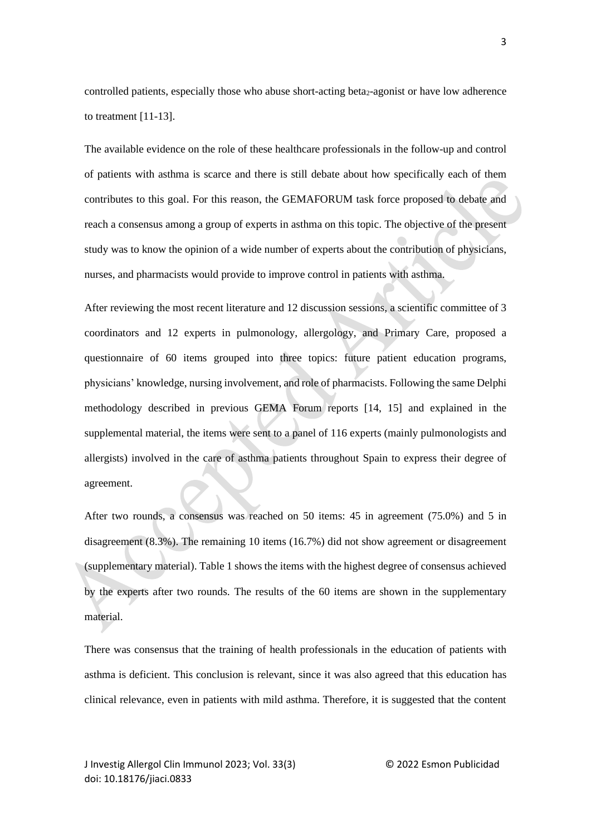controlled patients, especially those who abuse short-acting beta<sub>2</sub>-agonist or have low adherence to treatment [11-13].

The available evidence on the role of these healthcare professionals in the follow-up and control of patients with asthma is scarce and there is still debate about how specifically each of them contributes to this goal. For this reason, the GEMAFORUM task force proposed to debate and reach a consensus among a group of experts in asthma on this topic. The objective of the present study was to know the opinion of a wide number of experts about the contribution of physicians, nurses, and pharmacists would provide to improve control in patients with asthma.

After reviewing the most recent literature and 12 discussion sessions, a scientific committee of 3 coordinators and 12 experts in pulmonology, allergology, and Primary Care, proposed a questionnaire of 60 items grouped into three topics: future patient education programs, physicians' knowledge, nursing involvement, and role of pharmacists. Following the same Delphi methodology described in previous GEMA Forum reports [14, 15] and explained in the supplemental material, the items were sent to a panel of 116 experts (mainly pulmonologists and allergists) involved in the care of asthma patients throughout Spain to express their degree of agreement.

After two rounds, a consensus was reached on 50 items: 45 in agreement (75.0%) and 5 in disagreement (8.3%). The remaining 10 items (16.7%) did not show agreement or disagreement (supplementary material). Table 1 shows the items with the highest degree of consensus achieved by the experts after two rounds. The results of the 60 items are shown in the supplementary material.

There was consensus that the training of health professionals in the education of patients with asthma is deficient. This conclusion is relevant, since it was also agreed that this education has clinical relevance, even in patients with mild asthma. Therefore, it is suggested that the content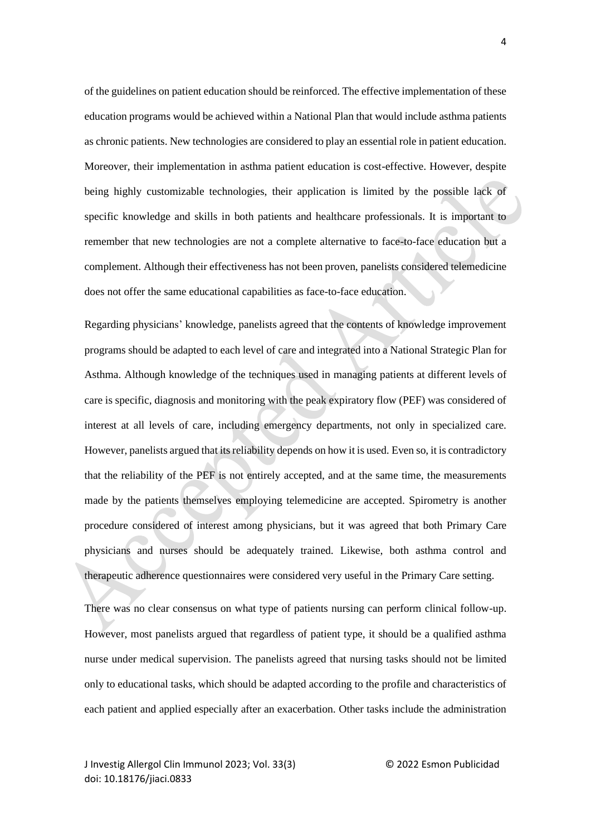of the guidelines on patient education should be reinforced. The effective implementation of these education programs would be achieved within a National Plan that would include asthma patients as chronic patients. New technologies are considered to play an essential role in patient education. Moreover, their implementation in asthma patient education is cost-effective. However, despite being highly customizable technologies, their application is limited by the possible lack of specific knowledge and skills in both patients and healthcare professionals. It is important to remember that new technologies are not a complete alternative to face-to-face education but a complement. Although their effectiveness has not been proven, panelists considered telemedicine does not offer the same educational capabilities as face-to-face education.

Regarding physicians' knowledge, panelists agreed that the contents of knowledge improvement programs should be adapted to each level of care and integrated into a National Strategic Plan for Asthma. Although knowledge of the techniques used in managing patients at different levels of care is specific, diagnosis and monitoring with the peak expiratory flow (PEF) was considered of interest at all levels of care, including emergency departments, not only in specialized care. However, panelists argued that its reliability depends on how it is used. Even so, it is contradictory that the reliability of the PEF is not entirely accepted, and at the same time, the measurements made by the patients themselves employing telemedicine are accepted. Spirometry is another procedure considered of interest among physicians, but it was agreed that both Primary Care physicians and nurses should be adequately trained. Likewise, both asthma control and therapeutic adherence questionnaires were considered very useful in the Primary Care setting.

There was no clear consensus on what type of patients nursing can perform clinical follow-up. However, most panelists argued that regardless of patient type, it should be a qualified asthma nurse under medical supervision. The panelists agreed that nursing tasks should not be limited only to educational tasks, which should be adapted according to the profile and characteristics of each patient and applied especially after an exacerbation. Other tasks include the administration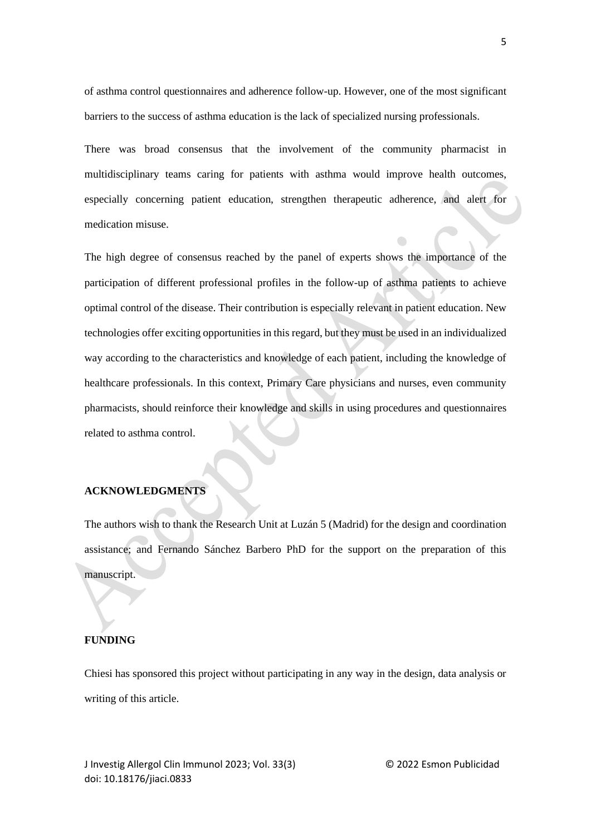of asthma control questionnaires and adherence follow-up. However, one of the most significant barriers to the success of asthma education is the lack of specialized nursing professionals.

There was broad consensus that the involvement of the community pharmacist in multidisciplinary teams caring for patients with asthma would improve health outcomes, especially concerning patient education, strengthen therapeutic adherence, and alert for medication misuse.

The high degree of consensus reached by the panel of experts shows the importance of the participation of different professional profiles in the follow-up of asthma patients to achieve optimal control of the disease. Their contribution is especially relevant in patient education. New technologies offer exciting opportunities in this regard, but they must be used in an individualized way according to the characteristics and knowledge of each patient, including the knowledge of healthcare professionals. In this context, Primary Care physicians and nurses, even community pharmacists, should reinforce their knowledge and skills in using procedures and questionnaires related to asthma control.

## **ACKNOWLEDGMENTS**

The authors wish to thank the Research Unit at Luzán 5 (Madrid) for the design and coordination assistance; and Fernando Sánchez Barbero PhD for the support on the preparation of this manuscript.

## **FUNDING**

Chiesi has sponsored this project without participating in any way in the design, data analysis or writing of this article.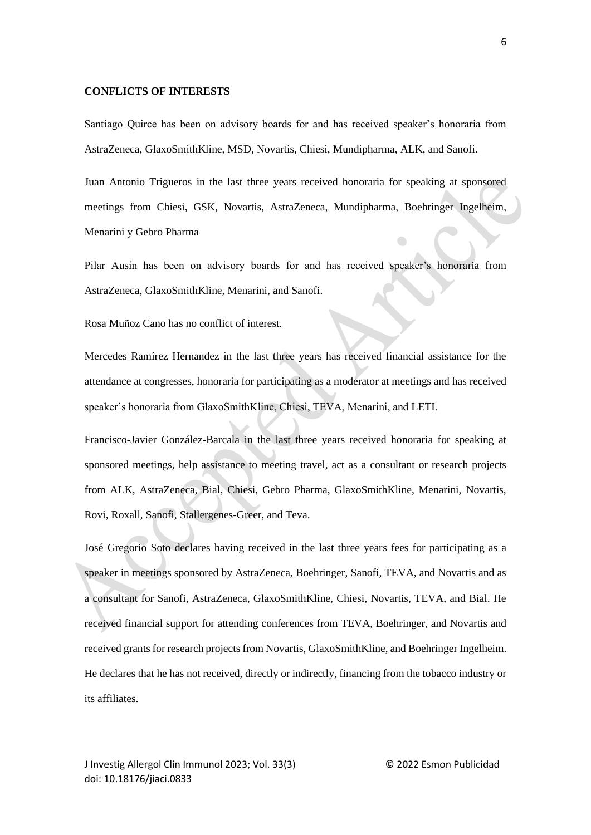#### **CONFLICTS OF INTERESTS**

Santiago Quirce has been on advisory boards for and has received speaker's honoraria from AstraZeneca, GlaxoSmithKline, MSD, Novartis, Chiesi, Mundipharma, ALK, and Sanofi.

Juan Antonio Trigueros in the last three years received honoraria for speaking at sponsored meetings from Chiesi, GSK, Novartis, AstraZeneca, Mundipharma, Boehringer Ingelheim, Menarini y Gebro Pharma

Pilar Ausín has been on advisory boards for and has received speaker's honoraria from AstraZeneca, GlaxoSmithKline, Menarini, and Sanofi.

Rosa Muñoz Cano has no conflict of interest.

Mercedes Ramírez Hernandez in the last three years has received financial assistance for the attendance at congresses, honoraria for participating as a moderator at meetings and has received speaker's honoraria from GlaxoSmithKline, Chiesi, TEVA, Menarini, and LETI.

Francisco-Javier González-Barcala in the last three years received honoraria for speaking at sponsored meetings, help assistance to meeting travel, act as a consultant or research projects from ALK, AstraZeneca, Bial, Chiesi, Gebro Pharma, GlaxoSmithKline, Menarini, Novartis, Rovi, Roxall, Sanofi, Stallergenes-Greer, and Teva.

José Gregorio Soto declares having received in the last three years fees for participating as a speaker in meetings sponsored by AstraZeneca, Boehringer, Sanofi, TEVA, and Novartis and as a consultant for Sanofi, AstraZeneca, GlaxoSmithKline, Chiesi, Novartis, TEVA, and Bial. He received financial support for attending conferences from TEVA, Boehringer, and Novartis and received grants for research projects from Novartis, GlaxoSmithKline, and Boehringer Ingelheim. He declares that he has not received, directly or indirectly, financing from the tobacco industry or its affiliates.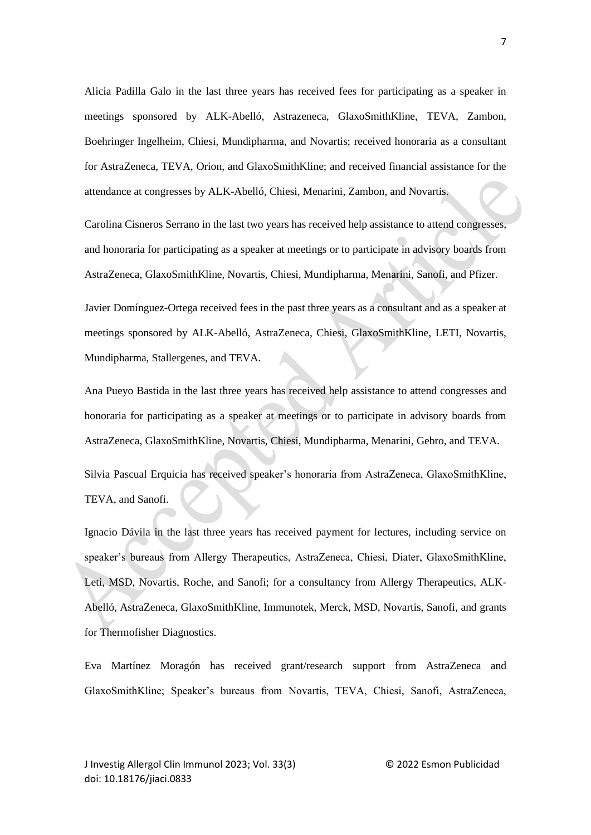Alicia Padilla Galo in the last three years has received fees for participating as a speaker in meetings sponsored by ALK-Abelló, Astrazeneca, GlaxoSmithKline, TEVA, Zambon, Boehringer Ingelheim, Chiesi, Mundipharma, and Novartis; received honoraria as a consultant for AstraZeneca, TEVA, Orion, and GlaxoSmithKline; and received financial assistance for the attendance at congresses by ALK-Abelló, Chiesi, Menarini, Zambon, and Novartis.

Carolina Cisneros Serrano in the last two years has received help assistance to attend congresses, and honoraria for participating as a speaker at meetings or to participate in advisory boards from AstraZeneca, GlaxoSmithKline, Novartis, Chiesi, Mundipharma, Menarini, Sanofi, and Pfizer.

Javier Domínguez-Ortega received fees in the past three years as a consultant and as a speaker at meetings sponsored by ALK-Abelló, AstraZeneca, Chiesi, GlaxoSmithKline, LETI, Novartis, Mundipharma, Stallergenes, and TEVA.

Ana Pueyo Bastida in the last three years has received help assistance to attend congresses and honoraria for participating as a speaker at meetings or to participate in advisory boards from AstraZeneca, GlaxoSmithKline, Novartis, Chiesi, Mundipharma, Menarini, Gebro, and TEVA.

Silvia Pascual Erquicia has received speaker's honoraria from AstraZeneca, GlaxoSmithKline, TEVA, and Sanofi.

Ignacio Dávila in the last three years has received payment for lectures, including service on speaker's bureaus from Allergy Therapeutics, AstraZeneca, Chiesi, Diater, GlaxoSmithKline, Leti, MSD, Novartis, Roche, and Sanofi; for a consultancy from Allergy Therapeutics, ALK-Abelló, AstraZeneca, GlaxoSmithKline, Immunotek, Merck, MSD, Novartis, Sanofi, and grants for Thermofisher Diagnostics.

Eva Martínez Moragón has received grant/research support from AstraZeneca and GlaxoSmithKline; Speaker's bureaus from Novartis, TEVA, Chiesi, Sanofi, AstraZeneca,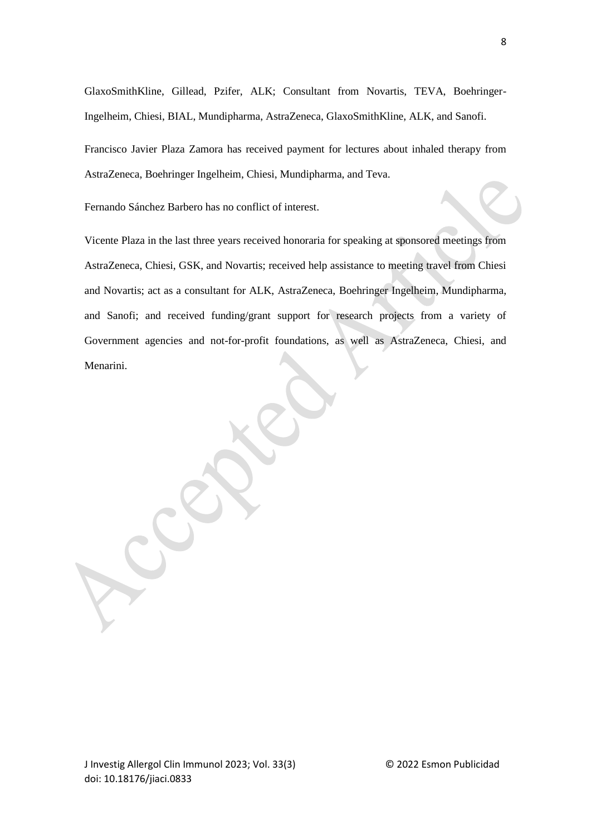GlaxoSmithKline, Gillead, Pzifer, ALK; Consultant from Novartis, TEVA, Boehringer-Ingelheim, Chiesi, BIAL, Mundipharma, AstraZeneca, GlaxoSmithKline, ALK, and Sanofi.

Francisco Javier Plaza Zamora has received payment for lectures about inhaled therapy from AstraZeneca, Boehringer Ingelheim, Chiesi, Mundipharma, and Teva.

Fernando Sánchez Barbero has no conflict of interest.

Vicente Plaza in the last three years received honoraria for speaking at sponsored meetings from AstraZeneca, Chiesi, GSK, and Novartis; received help assistance to meeting travel from Chiesi and Novartis; act as a consultant for ALK, AstraZeneca, Boehringer Ingelheim, Mundipharma, and Sanofi; and received funding/grant support for research projects from a variety of Government agencies and not-for-profit foundations, as well as AstraZeneca, Chiesi, and Menarini.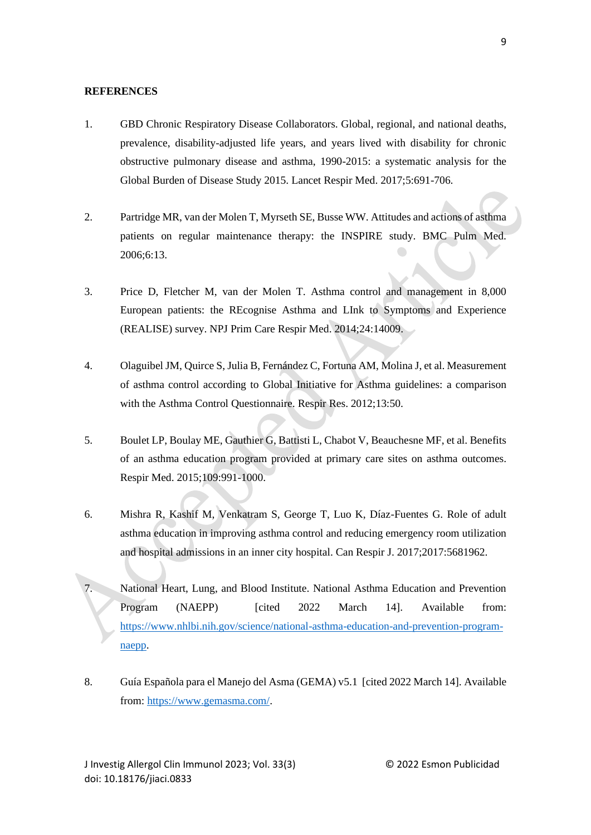## **REFERENCES**

- 1. GBD Chronic Respiratory Disease Collaborators. Global, regional, and national deaths, prevalence, disability-adjusted life years, and years lived with disability for chronic obstructive pulmonary disease and asthma, 1990-2015: a systematic analysis for the Global Burden of Disease Study 2015. Lancet Respir Med. 2017;5:691-706.
- 2. Partridge MR, van der Molen T, Myrseth SE, Busse WW. Attitudes and actions of asthma patients on regular maintenance therapy: the INSPIRE study. BMC Pulm Med. 2006;6:13.
- 3. Price D, Fletcher M, van der Molen T. Asthma control and management in 8,000 European patients: the REcognise Asthma and LInk to Symptoms and Experience (REALISE) survey. NPJ Prim Care Respir Med. 2014;24:14009.
- 4. Olaguibel JM, Quirce S, Julia B, Fernández C, Fortuna AM, Molina J, et al. Measurement of asthma control according to Global Initiative for Asthma guidelines: a comparison with the Asthma Control Questionnaire. Respir Res. 2012;13:50.
- 5. Boulet LP, Boulay ME, Gauthier G, Battisti L, Chabot V, Beauchesne MF, et al. Benefits of an asthma education program provided at primary care sites on asthma outcomes. Respir Med. 2015;109:991-1000.
- 6. Mishra R, Kashif M, Venkatram S, George T, Luo K, Díaz-Fuentes G. Role of adult asthma education in improving asthma control and reducing emergency room utilization and hospital admissions in an inner city hospital. Can Respir J. 2017;2017:5681962.
- 7. National Heart, Lung, and Blood Institute. National Asthma Education and Prevention Program (NAEPP) [cited 2022 March 14]. Available from: [https://www.nhlbi.nih.gov/science/national-asthma-education-and-prevention-program](https://www.nhlbi.nih.gov/science/national-asthma-education-and-prevention-program-naepp)[naepp.](https://www.nhlbi.nih.gov/science/national-asthma-education-and-prevention-program-naepp)
- 8. Guía Española para el Manejo del Asma (GEMA) v5.1 [cited 2022 March 14]. Available from: [https://www.gemasma.com/.](https://www.gemasma.com/)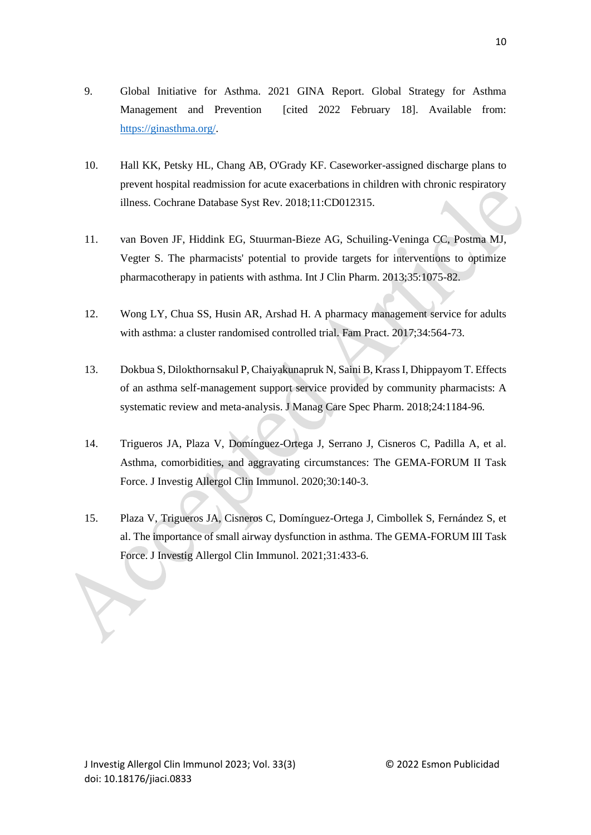- 10. Hall KK, Petsky HL, Chang AB, O'Grady KF. Caseworker-assigned discharge plans to prevent hospital readmission for acute exacerbations in children with chronic respiratory illness. Cochrane Database Syst Rev. 2018;11:CD012315.
- 11. van Boven JF, Hiddink EG, Stuurman-Bieze AG, Schuiling-Veninga CC, Postma MJ, Vegter S. The pharmacists' potential to provide targets for interventions to optimize pharmacotherapy in patients with asthma. Int J Clin Pharm. 2013;35:1075-82.
- 12. Wong LY, Chua SS, Husin AR, Arshad H. A pharmacy management service for adults with asthma: a cluster randomised controlled trial. Fam Pract. 2017;34:564-73.
- 13. Dokbua S, Dilokthornsakul P, Chaiyakunapruk N, Saini B, Krass I, Dhippayom T. Effects of an asthma self-management support service provided by community pharmacists: A systematic review and meta-analysis. J Manag Care Spec Pharm. 2018;24:1184-96.
- 14. Trigueros JA, Plaza V, Domínguez-Ortega J, Serrano J, Cisneros C, Padilla A, et al. Asthma, comorbidities, and aggravating circumstances: The GEMA-FORUM II Task Force. J Investig Allergol Clin Immunol. 2020;30:140-3.
- 15. Plaza V, Trigueros JA, Cisneros C, Domínguez-Ortega J, Cimbollek S, Fernández S, et al. The importance of small airway dysfunction in asthma. The GEMA-FORUM III Task Force. J Investig Allergol Clin Immunol. 2021;31:433-6.